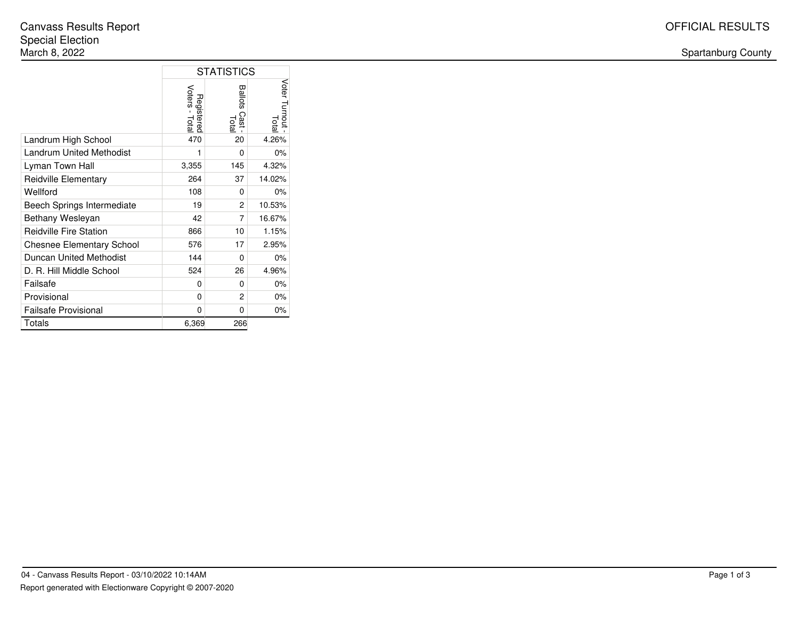#### Spartanburg County

|                                  | <b>STATISTICS</b>            |                         |                       |
|----------------------------------|------------------------------|-------------------------|-----------------------|
|                                  | Voters - Total<br>Registered | Ballots<br>Cast<br>Tota | Voter Turnout<br>Lota |
| Landrum High School              | 470                          | 20                      | 4.26%                 |
| <b>Landrum United Methodist</b>  | 1                            | 0                       | 0%                    |
| Lyman Town Hall                  | 3,355                        | 145                     | 4.32%                 |
| Reidville Elementary             | 264                          | 37                      | 14.02%                |
| Wellford                         | 108                          | 0                       | 0%                    |
| Beech Springs Intermediate       | 19                           | 2                       | 10.53%                |
| Bethany Wesleyan                 | 42                           | 7                       | 16.67%                |
| <b>Reidville Fire Station</b>    | 866                          | 10                      | 1.15%                 |
| <b>Chesnee Elementary School</b> | 576                          | 17                      | 2.95%                 |
| Duncan United Methodist          | 144                          | 0                       | 0%                    |
| D. R. Hill Middle School         | 524                          | 26                      | 4.96%                 |
| Failsafe                         | 0                            | $\Omega$                | 0%                    |
| Provisional                      | $\Omega$                     | $\mathfrak{p}$          | 0%                    |
| <b>Failsafe Provisional</b>      | 0                            | 0                       | 0%                    |
| Totals                           | 6,369                        | 266                     |                       |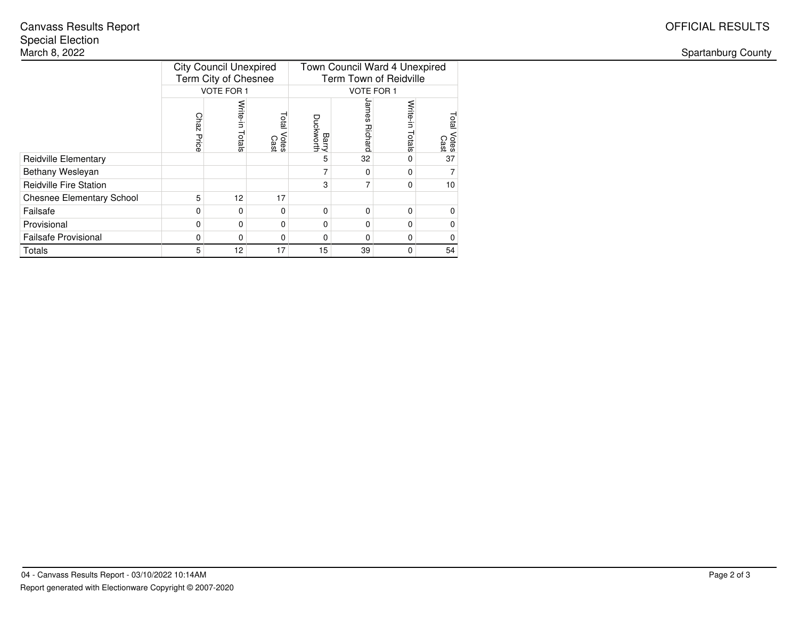Spartanburg County

|                                  | <b>City Council Unexpired</b><br>Term City of Chesnee |                    |                               | Town Council Ward 4 Unexpired<br>Term Town of Reidville |                   |                        |                        |  |
|----------------------------------|-------------------------------------------------------|--------------------|-------------------------------|---------------------------------------------------------|-------------------|------------------------|------------------------|--|
|                                  |                                                       | <b>VOTE FOR 1</b>  |                               |                                                         | <b>VOTE FOR 1</b> |                        |                        |  |
|                                  | <b>Chaz</b><br>Price                                  | Write-in<br>Totals | <b>Total</b><br>Votes<br>Cast | Barry<br>Duckworth                                      | ames<br>Richard   | Write-i<br>Ś<br>Totals | Total<br>Votes<br>Cast |  |
| <b>Reidville Elementary</b>      |                                                       |                    |                               | 5                                                       | 32                |                        | 37                     |  |
| Bethany Wesleyan                 |                                                       |                    |                               | 7                                                       | $\Omega$          | $\Omega$               | 7                      |  |
| <b>Reidville Fire Station</b>    |                                                       |                    |                               | 3                                                       | 7                 | $\Omega$               | 10                     |  |
| <b>Chesnee Elementary School</b> | 5                                                     | 12                 | 17                            |                                                         |                   |                        |                        |  |
| Failsafe                         | $\Omega$                                              | 0                  | <sup>0</sup>                  | 0                                                       | 0                 | $\Omega$               | 0                      |  |
| Provisional                      | 0                                                     | 0                  | ŋ                             | 0                                                       | 0                 | 0                      | $\mathbf 0$            |  |
| <b>Failsafe Provisional</b>      | $\Omega$                                              | 0                  | 0                             | 0                                                       | 0                 | <sup>0</sup>           | 0                      |  |
| Totals                           | 5                                                     | 12                 | 17                            | 15                                                      | 39                | $\Omega$               | 54                     |  |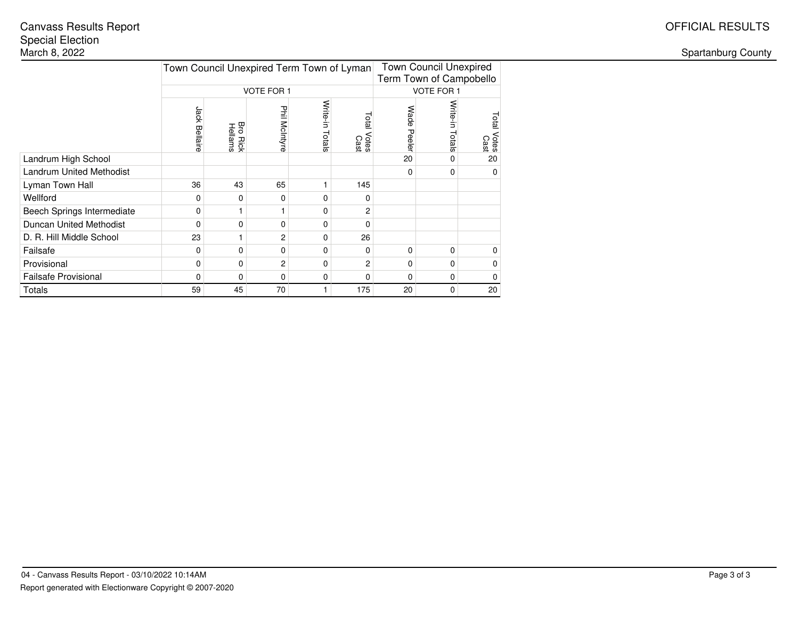# Special Election<br>March 8, 2022 Canvass Results Report OFFICIAL RESULTS

Spartanburg County

|                                 | Town Council Unexpired Term Town of Lyman |                                   |                   |                    | <b>Town Council Unexpired</b><br>Term Town of Campobello |                |                    |                     |  |
|---------------------------------|-------------------------------------------|-----------------------------------|-------------------|--------------------|----------------------------------------------------------|----------------|--------------------|---------------------|--|
|                                 |                                           |                                   | <b>VOTE FOR 1</b> |                    |                                                          |                | VOTE FOR 1         |                     |  |
|                                 | Jack<br>Bellaire                          | Bro<br><b>Bro Rick</b><br>Hellams | Phil McIntyre     | Write-in<br>Totals | Total<br>Votes<br>Cast                                   | Wade<br>Peeler | Write-in<br>Totals | Total Votes<br>Cast |  |
| Landrum High School             |                                           |                                   |                   |                    |                                                          | 20             |                    | 20                  |  |
| <b>Landrum United Methodist</b> |                                           |                                   |                   |                    |                                                          | $\Omega$       |                    | 0                   |  |
| Lyman Town Hall                 | 36                                        | 43                                | 65                |                    | 145                                                      |                |                    |                     |  |
| Wellford                        | 0                                         | 0                                 | 0                 | 0                  | 0                                                        |                |                    |                     |  |
| Beech Springs Intermediate      | 0                                         |                                   |                   | 0                  | 2                                                        |                |                    |                     |  |
| Duncan United Methodist         | 0                                         | $\Omega$                          | $\mathbf{0}$      | 0                  | 0                                                        |                |                    |                     |  |
| D. R. Hill Middle School        | 23                                        |                                   | 2                 | 0                  | 26                                                       |                |                    |                     |  |
| Failsafe                        | 0                                         | $\Omega$                          | $\mathbf 0$       | 0                  | 0                                                        | 0              | 0                  | 0                   |  |
| Provisional                     | 0                                         | 0                                 | 2                 | 0                  | 2                                                        | $\mathbf 0$    | 0                  | 0                   |  |
| <b>Failsafe Provisional</b>     | 0                                         | $\Omega$                          | $\mathbf 0$       | 0                  | 0                                                        | 0              | 0                  | 0                   |  |
| Totals                          | 59                                        | 45                                | 70                |                    | 175                                                      | 20             | 0                  | 20                  |  |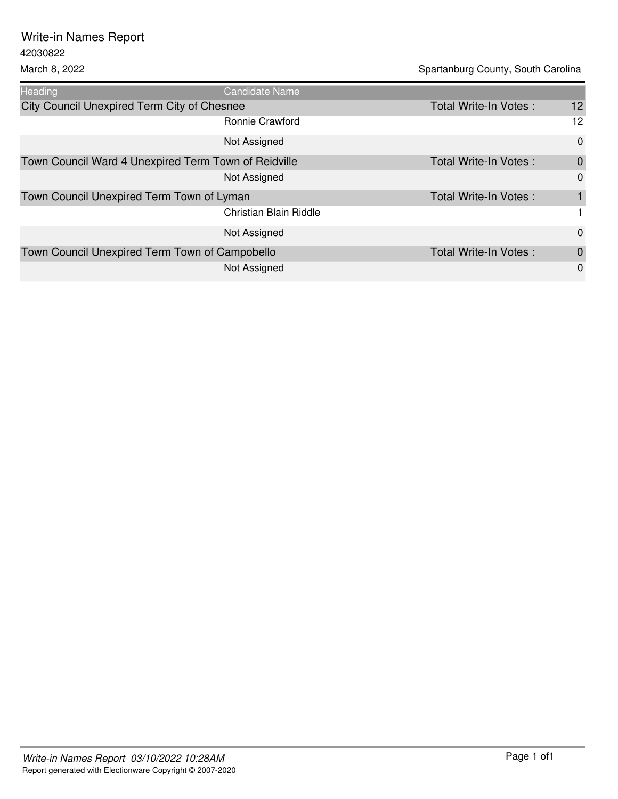42030822 Write-in Names Report

March 8, 2022 March 8, 2022 Heading **Candidate Name** City Council Unexpired Term City of Chesnee Total Write-In Votes : 12 Ronnie Crawford 12

|                                                      | <b>ROTTLIE CRAWIOLD</b> |                       | ے ا            |
|------------------------------------------------------|-------------------------|-----------------------|----------------|
|                                                      | Not Assigned            |                       | $\mathbf 0$    |
| Town Council Ward 4 Unexpired Term Town of Reidville |                         | Total Write-In Votes: | $\mathbf 0$    |
|                                                      | Not Assigned            |                       | $\overline{0}$ |
| Town Council Unexpired Term Town of Lyman            |                         | Total Write-In Votes: |                |
|                                                      | Christian Blain Riddle  |                       |                |
|                                                      | Not Assigned            |                       | $\Omega$       |
| Town Council Unexpired Term Town of Campobello       |                         | Total Write-In Votes: | $\mathbf 0$    |
|                                                      | Not Assigned            |                       | $\Omega$       |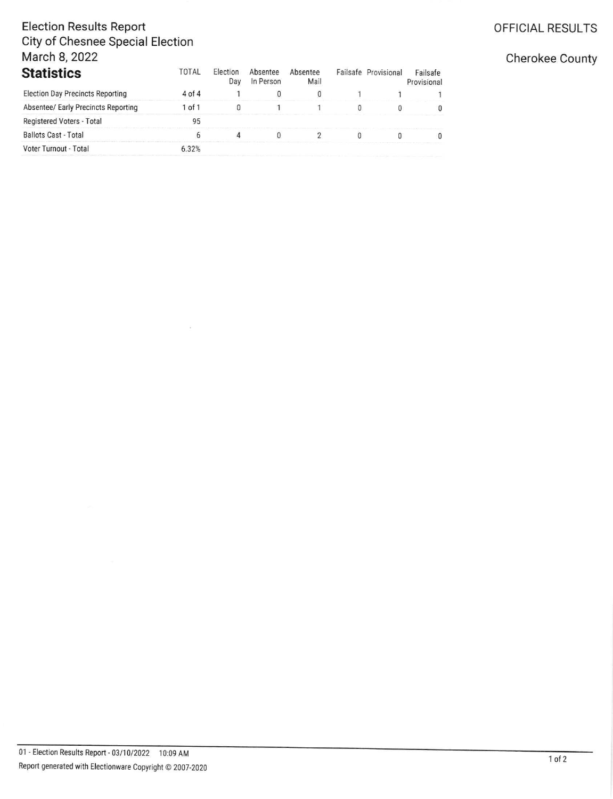## **Election Results Report City of Chesnee Special Election** March 8, 2022

| <b>Statistics</b>                       | TOTAL      | <b>Election</b><br>Dav | Absentee<br>In Person | Absentee<br>Mail | Failsafe Provisional | Failsafe<br>Provisional |
|-----------------------------------------|------------|------------------------|-----------------------|------------------|----------------------|-------------------------|
| <b>Election Day Precincts Reporting</b> | $4$ of $4$ |                        |                       |                  |                      |                         |
| Absentee/ Early Precincts Reporting     | 1 of 1     |                        |                       |                  |                      |                         |
| Registered Voters - Total               | 95         |                        |                       |                  |                      |                         |
| <b>Ballots Cast - Total</b>             |            |                        |                       |                  |                      |                         |
| Voter Turnout - Total                   | 6.32%      |                        |                       |                  |                      |                         |

### OFFICIAL RESULTS

#### Cherokee County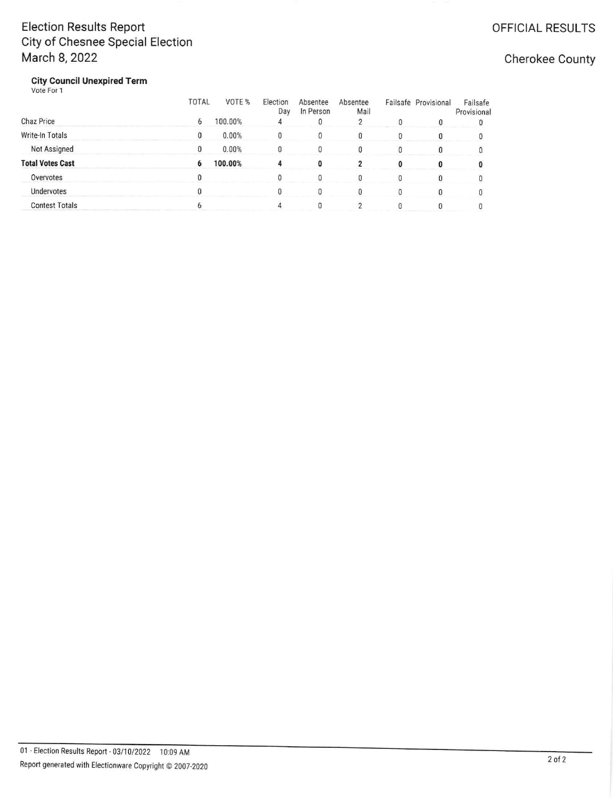## **Election Results Report** City of Chesnee Special Election March 8, 2022

Cherokee County

**City Council Unexpired Term**<br>Vote For 1

|                         | <b>TOTAL</b> | VOTE %  | Election<br>Day | Absentee<br>In Person | Absentee<br>Mail | Failsafe Provisional | Failsafe<br>Provisional |
|-------------------------|--------------|---------|-----------------|-----------------------|------------------|----------------------|-------------------------|
| Chaz Price              | 6            | 100.00% |                 |                       |                  |                      |                         |
| Write-In Totals         | 0            | 0.00%   |                 |                       |                  |                      |                         |
| Not Assigned            | 0            | 0.00%   |                 |                       |                  |                      |                         |
| <b>Total Votes Cast</b> | 6            | 100.00% |                 |                       |                  |                      |                         |
| Overvotes               |              |         |                 |                       |                  |                      |                         |
| Undervotes              |              |         |                 |                       |                  |                      |                         |
| <b>Contest Totals</b>   |              |         |                 |                       |                  |                      |                         |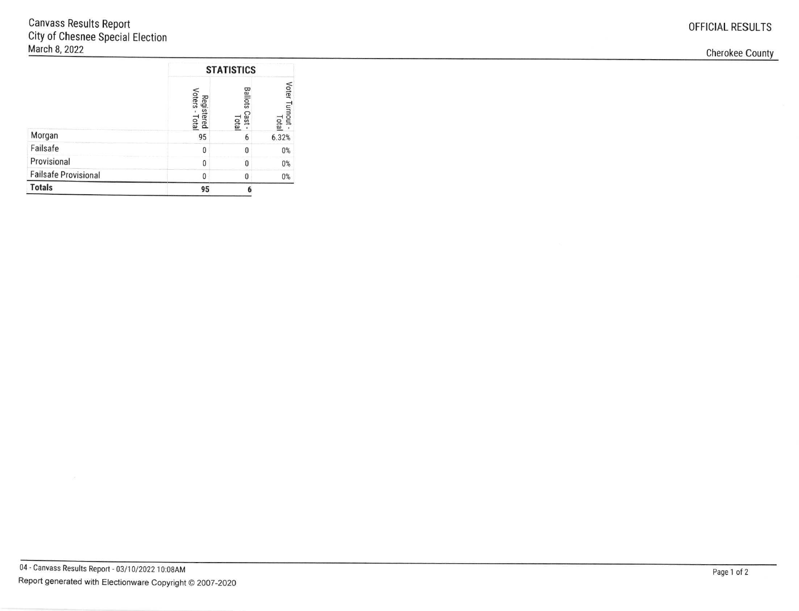|                             | <b>STATISTICS</b>            |                                 |                          |  |
|-----------------------------|------------------------------|---------------------------------|--------------------------|--|
|                             | Voters<br>Registered<br>Tota | <b>Ballots</b><br>Cast<br>Total | Voter Turnout -<br>Total |  |
| Morgan                      | 95                           | 6                               | 6.32%                    |  |
| Failsafe                    | <sup>0</sup>                 | $\theta$                        | 0%                       |  |
| Provisional                 |                              | 0                               | $0\%$                    |  |
| <b>Failsafe Provisional</b> | n                            | O                               | $0\%$                    |  |
| <b>Totals</b>               | 95                           |                                 |                          |  |